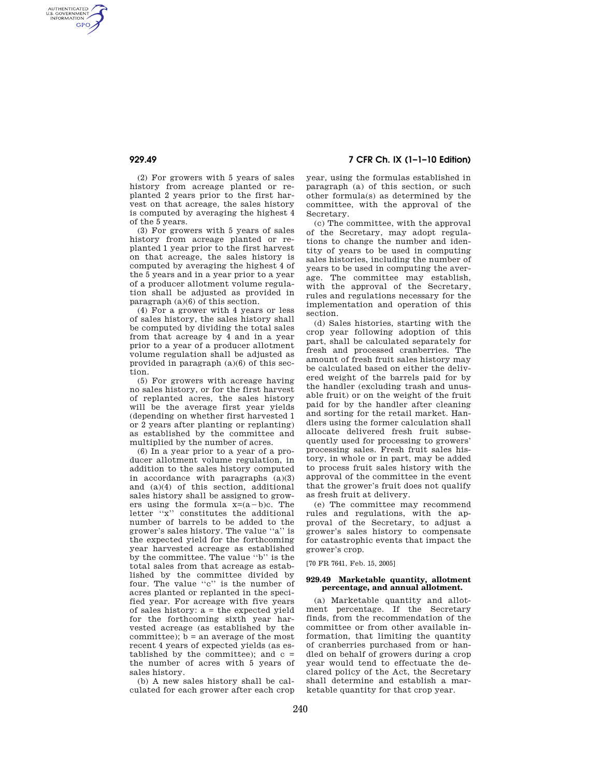AUTHENTICATED<br>U.S. GOVERNMENT<br>INFORMATION **GPO** 

> (2) For growers with 5 years of sales history from acreage planted or replanted 2 years prior to the first harvest on that acreage, the sales history is computed by averaging the highest 4 of the 5 years.

> (3) For growers with 5 years of sales history from acreage planted or replanted 1 year prior to the first harvest on that acreage, the sales history is computed by averaging the highest 4 of the 5 years and in a year prior to a year of a producer allotment volume regulation shall be adjusted as provided in paragraph (a)(6) of this section.

> (4) For a grower with 4 years or less of sales history, the sales history shall be computed by dividing the total sales from that acreage by 4 and in a year prior to a year of a producer allotment volume regulation shall be adjusted as provided in paragraph (a)(6) of this section.

> (5) For growers with acreage having no sales history, or for the first harvest of replanted acres, the sales history will be the average first year yields (depending on whether first harvested 1 or 2 years after planting or replanting) as established by the committee and multiplied by the number of acres.

> (6) In a year prior to a year of a producer allotment volume regulation, in addition to the sales history computed in accordance with paragraphs (a)(3) and (a)(4) of this section, additional sales history shall be assigned to growers using the formula  $x=(a-b)c$ . The letter ''x'' constitutes the additional number of barrels to be added to the grower's sales history. The value ''a'' is the expected yield for the forthcoming year harvested acreage as established by the committee. The value ''b'' is the total sales from that acreage as established by the committee divided by four. The value ''c'' is the number of acres planted or replanted in the specified year. For acreage with five years of sales history: a = the expected yield for the forthcoming sixth year harvested acreage (as established by the committee);  $b = an average of the most$ recent 4 years of expected yields (as established by the committee); and  $c =$ the number of acres with 5 years of sales history.

(b) A new sales history shall be calculated for each grower after each crop

# **929.49 7 CFR Ch. IX (1–1–10 Edition)**

year, using the formulas established in paragraph (a) of this section, or such other formula(s) as determined by the committee, with the approval of the Secretary.

(c) The committee, with the approval of the Secretary, may adopt regulations to change the number and identity of years to be used in computing sales histories, including the number of years to be used in computing the average. The committee may establish, with the approval of the Secretary, rules and regulations necessary for the implementation and operation of this section.

(d) Sales histories, starting with the crop year following adoption of this part, shall be calculated separately for fresh and processed cranberries. The amount of fresh fruit sales history may be calculated based on either the delivered weight of the barrels paid for by the handler (excluding trash and unusable fruit) or on the weight of the fruit paid for by the handler after cleaning and sorting for the retail market. Handlers using the former calculation shall allocate delivered fresh fruit subsequently used for processing to growers' processing sales. Fresh fruit sales history, in whole or in part, may be added to process fruit sales history with the approval of the committee in the event that the grower's fruit does not qualify as fresh fruit at delivery.

(e) The committee may recommend rules and regulations, with the approval of the Secretary, to adjust a grower's sales history to compensate for catastrophic events that impact the grower's crop.

[70 FR 7641, Feb. 15, 2005]

#### **929.49 Marketable quantity, allotment percentage, and annual allotment.**

(a) Marketable quantity and allotment percentage. If the Secretary finds, from the recommendation of the committee or from other available information, that limiting the quantity of cranberries purchased from or handled on behalf of growers during a crop year would tend to effectuate the declared policy of the Act, the Secretary shall determine and establish a marketable quantity for that crop year.